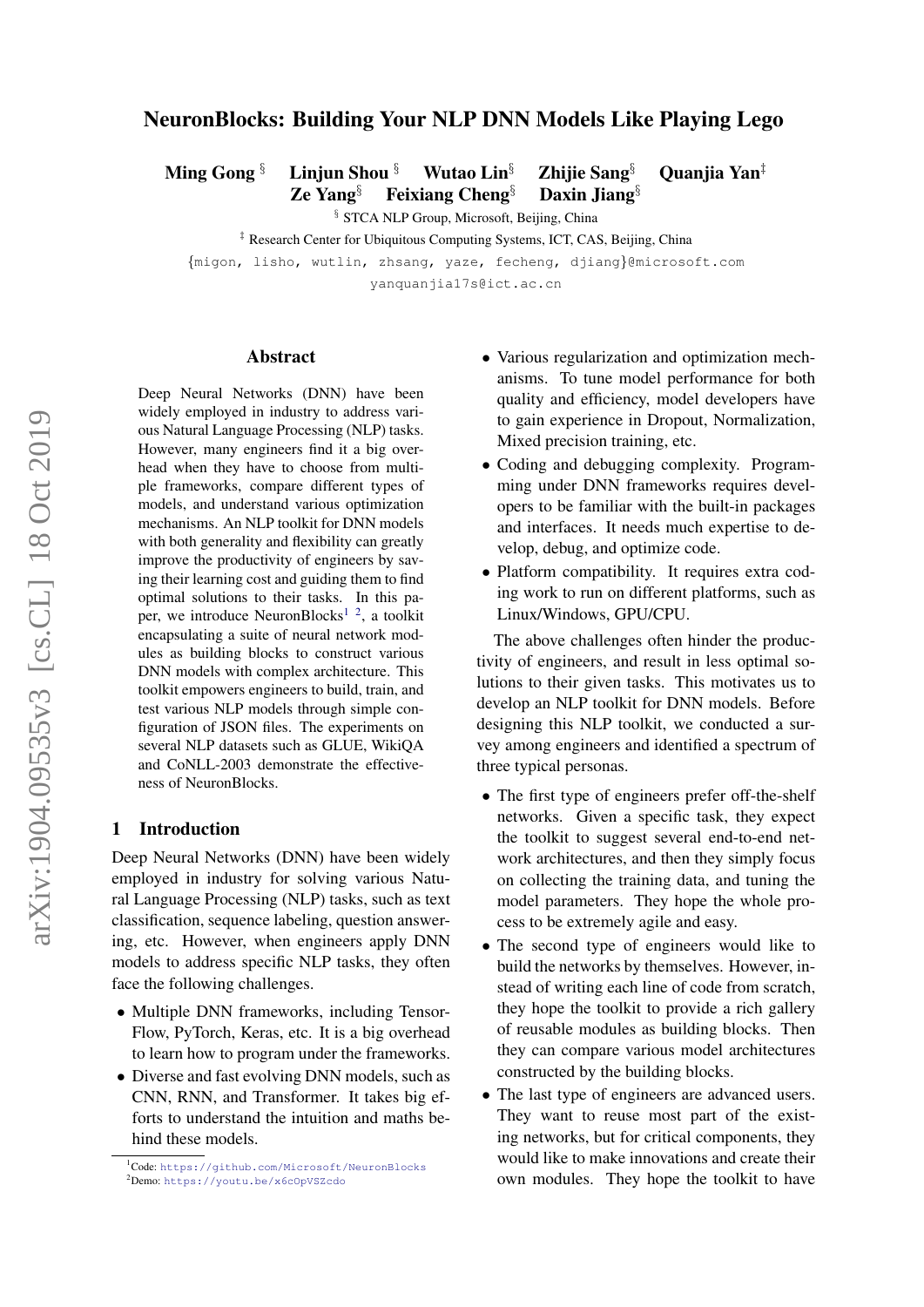## NeuronBlocks: Building Your NLP DNN Models Like Playing Lego

Ming Gong § Linjun Shou § Wutao Lin<sup>§</sup> Zhijie Sang <sup>§</sup> Quanjia Yan<sup>‡</sup>

Ze Yang§ Feixiang Cheng§ Daxin Jiang§

§ STCA NLP Group, Microsoft, Beijing, China

‡ Research Center for Ubiquitous Computing Systems, ICT, CAS, Beijing, China

{migon, lisho, wutlin, zhsang, yaze, fecheng, djiang}@microsoft.com

yanquanjia17s@ict.ac.cn

#### Abstract

Deep Neural Networks (DNN) have been widely employed in industry to address various Natural Language Processing (NLP) tasks. However, many engineers find it a big overhead when they have to choose from multiple frameworks, compare different types of models, and understand various optimization mechanisms. An NLP toolkit for DNN models with both generality and flexibility can greatly improve the productivity of engineers by saving their learning cost and guiding them to find optimal solutions to their tasks. In this pa-per, we introduce NeuronBlocks<sup>[1](#page-0-0)</sup><sup>[2](#page-0-1)</sup>, a toolkit encapsulating a suite of neural network modules as building blocks to construct various DNN models with complex architecture. This toolkit empowers engineers to build, train, and test various NLP models through simple configuration of JSON files. The experiments on several NLP datasets such as GLUE, WikiQA and CoNLL-2003 demonstrate the effectiveness of NeuronBlocks.

## 1 Introduction

Deep Neural Networks (DNN) have been widely employed in industry for solving various Natural Language Processing (NLP) tasks, such as text classification, sequence labeling, question answering, etc. However, when engineers apply DNN models to address specific NLP tasks, they often face the following challenges.

- Multiple DNN frameworks, including Tensor-Flow, PyTorch, Keras, etc. It is a big overhead to learn how to program under the frameworks.
- Diverse and fast evolving DNN models, such as CNN, RNN, and Transformer. It takes big efforts to understand the intuition and maths behind these models.
- Various regularization and optimization mechanisms. To tune model performance for both quality and efficiency, model developers have to gain experience in Dropout, Normalization, Mixed precision training, etc.
- Coding and debugging complexity. Programming under DNN frameworks requires developers to be familiar with the built-in packages and interfaces. It needs much expertise to develop, debug, and optimize code.
- Platform compatibility. It requires extra coding work to run on different platforms, such as Linux/Windows, GPU/CPU.

The above challenges often hinder the productivity of engineers, and result in less optimal solutions to their given tasks. This motivates us to develop an NLP toolkit for DNN models. Before designing this NLP toolkit, we conducted a survey among engineers and identified a spectrum of three typical personas.

- The first type of engineers prefer off-the-shelf networks. Given a specific task, they expect the toolkit to suggest several end-to-end network architectures, and then they simply focus on collecting the training data, and tuning the model parameters. They hope the whole process to be extremely agile and easy.
- The second type of engineers would like to build the networks by themselves. However, instead of writing each line of code from scratch, they hope the toolkit to provide a rich gallery of reusable modules as building blocks. Then they can compare various model architectures constructed by the building blocks.
- The last type of engineers are advanced users. They want to reuse most part of the existing networks, but for critical components, they would like to make innovations and create their own modules. They hope the toolkit to have

<span id="page-0-0"></span><sup>1</sup>Code: <https://github.com/Microsoft/NeuronBlocks>

<span id="page-0-1"></span><sup>2</sup>Demo: <https://youtu.be/x6cOpVSZcdo>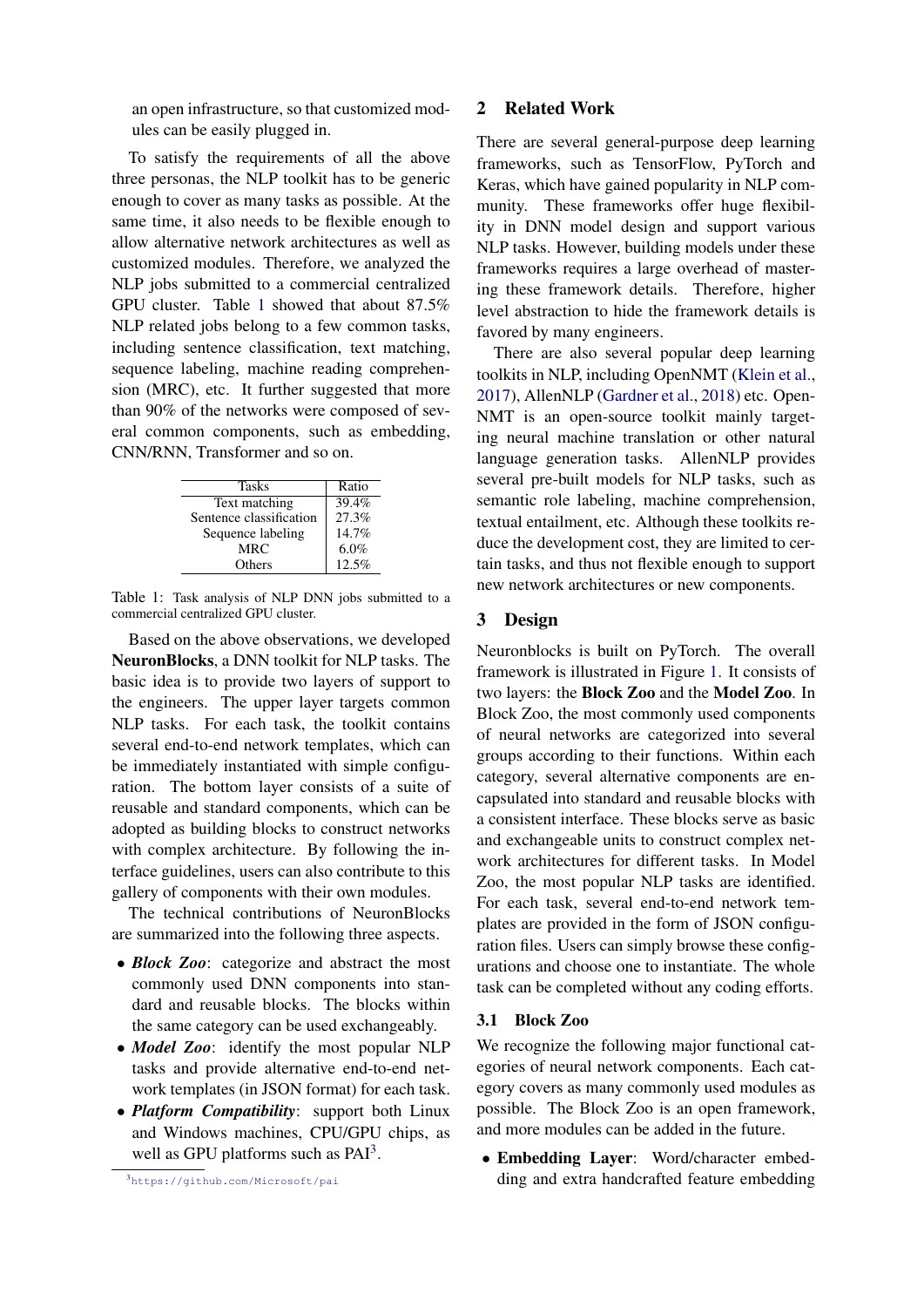an open infrastructure, so that customized modules can be easily plugged in.

To satisfy the requirements of all the above three personas, the NLP toolkit has to be generic enough to cover as many tasks as possible. At the same time, it also needs to be flexible enough to allow alternative network architectures as well as customized modules. Therefore, we analyzed the NLP jobs submitted to a commercial centralized GPU cluster. Table [1](#page-1-0) showed that about 87.5% NLP related jobs belong to a few common tasks, including sentence classification, text matching, sequence labeling, machine reading comprehension (MRC), etc. It further suggested that more than 90% of the networks were composed of several common components, such as embedding, CNN/RNN, Transformer and so on.

<span id="page-1-0"></span>

| <b>Tasks</b>            | Ratio |
|-------------------------|-------|
| Text matching           | 39.4% |
| Sentence classification | 27.3% |
| Sequence labeling       | 14.7% |
| MRC.                    | 6.0%  |
| Others                  | 12.5% |

Table 1: Task analysis of NLP DNN jobs submitted to a commercial centralized GPU cluster.

Based on the above observations, we developed NeuronBlocks, a DNN toolkit for NLP tasks. The basic idea is to provide two layers of support to the engineers. The upper layer targets common NLP tasks. For each task, the toolkit contains several end-to-end network templates, which can be immediately instantiated with simple configuration. The bottom layer consists of a suite of reusable and standard components, which can be adopted as building blocks to construct networks with complex architecture. By following the interface guidelines, users can also contribute to this gallery of components with their own modules.

The technical contributions of NeuronBlocks are summarized into the following three aspects.

- *Block Zoo*: categorize and abstract the most commonly used DNN components into standard and reusable blocks. The blocks within the same category can be used exchangeably.
- *Model Zoo*: identify the most popular NLP tasks and provide alternative end-to-end network templates (in JSON format) for each task.
- *Platform Compatibility*: support both Linux and Windows machines, CPU/GPU chips, as well as GPU platforms such as PAI<sup>[3](#page-1-1)</sup>.

<span id="page-1-1"></span><sup>3</sup><https://github.com/Microsoft/pai>

#### 2 Related Work

There are several general-purpose deep learning frameworks, such as TensorFlow, PyTorch and Keras, which have gained popularity in NLP community. These frameworks offer huge flexibility in DNN model design and support various NLP tasks. However, building models under these frameworks requires a large overhead of mastering these framework details. Therefore, higher level abstraction to hide the framework details is favored by many engineers.

There are also several popular deep learning toolkits in NLP, including OpenNMT [\(Klein et al.,](#page-5-0) [2017\)](#page-5-0), AllenNLP [\(Gardner et al.,](#page-5-1) [2018\)](#page-5-1) etc. Open-NMT is an open-source toolkit mainly targeting neural machine translation or other natural language generation tasks. AllenNLP provides several pre-built models for NLP tasks, such as semantic role labeling, machine comprehension, textual entailment, etc. Although these toolkits reduce the development cost, they are limited to certain tasks, and thus not flexible enough to support new network architectures or new components.

### 3 Design

Neuronblocks is built on PyTorch. The overall framework is illustrated in Figure [1.](#page-2-0) It consists of two layers: the Block Zoo and the Model Zoo. In Block Zoo, the most commonly used components of neural networks are categorized into several groups according to their functions. Within each category, several alternative components are encapsulated into standard and reusable blocks with a consistent interface. These blocks serve as basic and exchangeable units to construct complex network architectures for different tasks. In Model Zoo, the most popular NLP tasks are identified. For each task, several end-to-end network templates are provided in the form of JSON configuration files. Users can simply browse these configurations and choose one to instantiate. The whole task can be completed without any coding efforts.

#### 3.1 Block Zoo

We recognize the following major functional categories of neural network components. Each category covers as many commonly used modules as possible. The Block Zoo is an open framework, and more modules can be added in the future.

• Embedding Layer: Word/character embedding and extra handcrafted feature embedding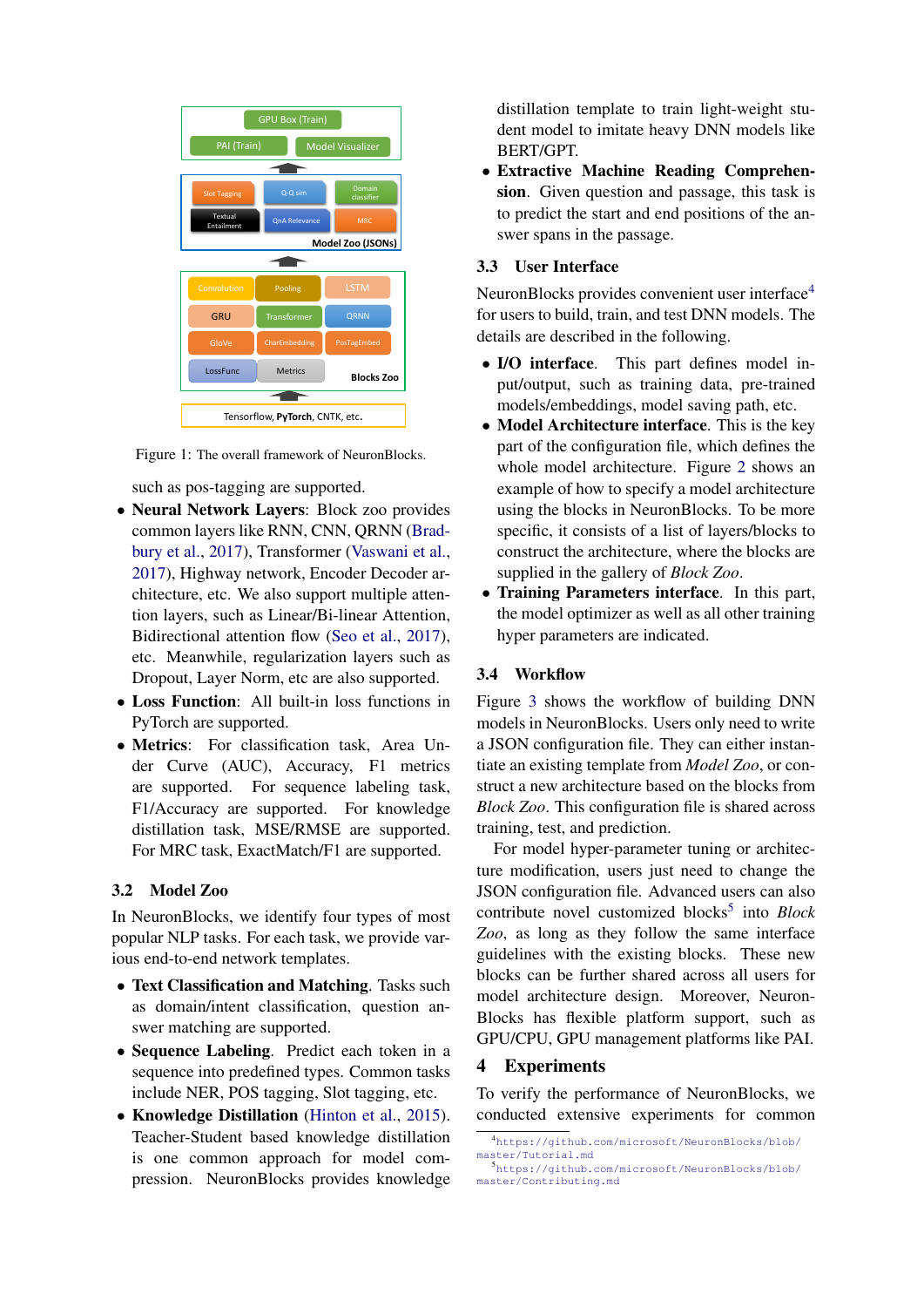<span id="page-2-0"></span>

Figure 1: The overall framework of NeuronBlocks.

such as pos-tagging are supported.

- Neural Network Layers: Block zoo provides common layers like RNN, CNN, QRNN [\(Brad](#page-5-2)[bury et al.,](#page-5-2) [2017\)](#page-5-2), Transformer [\(Vaswani et al.,](#page-5-3) [2017\)](#page-5-3), Highway network, Encoder Decoder architecture, etc. We also support multiple attention layers, such as Linear/Bi-linear Attention, Bidirectional attention flow [\(Seo et al.,](#page-5-4) [2017\)](#page-5-4), etc. Meanwhile, regularization layers such as Dropout, Layer Norm, etc are also supported.
- Loss Function: All built-in loss functions in PyTorch are supported.
- Metrics: For classification task, Area Under Curve (AUC), Accuracy, F1 metrics are supported. For sequence labeling task, F1/Accuracy are supported. For knowledge distillation task, MSE/RMSE are supported. For MRC task, ExactMatch/F1 are supported.

## 3.2 Model Zoo

In NeuronBlocks, we identify four types of most popular NLP tasks. For each task, we provide various end-to-end network templates.

- Text Classification and Matching. Tasks such as domain/intent classification, question answer matching are supported.
- Sequence Labeling. Predict each token in a sequence into predefined types. Common tasks include NER, POS tagging, Slot tagging, etc.
- Knowledge Distillation [\(Hinton et al.,](#page-5-5) [2015\)](#page-5-5). Teacher-Student based knowledge distillation is one common approach for model compression. NeuronBlocks provides knowledge

distillation template to train light-weight student model to imitate heavy DNN models like BERT/GPT.

• Extractive Machine Reading Comprehension. Given question and passage, this task is to predict the start and end positions of the answer spans in the passage.

### 3.3 User Interface

NeuronBlocks provides convenient user interface<sup>[4](#page-2-1)</sup> for users to build, train, and test DNN models. The details are described in the following.

- I/O interface. This part defines model input/output, such as training data, pre-trained models/embeddings, model saving path, etc.
- Model Architecture interface. This is the key part of the configuration file, which defines the whole model architecture. Figure [2](#page-3-0) shows an example of how to specify a model architecture using the blocks in NeuronBlocks. To be more specific, it consists of a list of layers/blocks to construct the architecture, where the blocks are supplied in the gallery of *Block Zoo*.
- Training Parameters interface. In this part, the model optimizer as well as all other training hyper parameters are indicated.

### 3.4 Workflow

Figure [3](#page-3-1) shows the workflow of building DNN models in NeuronBlocks. Users only need to write a JSON configuration file. They can either instantiate an existing template from *Model Zoo*, or construct a new architecture based on the blocks from *Block Zoo*. This configuration file is shared across training, test, and prediction.

For model hyper-parameter tuning or architecture modification, users just need to change the JSON configuration file. Advanced users can also contribute novel customized blocks<sup>[5](#page-2-2)</sup> into *Block Zoo*, as long as they follow the same interface guidelines with the existing blocks. These new blocks can be further shared across all users for model architecture design. Moreover, Neuron-Blocks has flexible platform support, such as GPU/CPU, GPU management platforms like PAI.

# 4 Experiments

To verify the performance of NeuronBlocks, we conducted extensive experiments for common

<span id="page-2-1"></span><sup>4</sup>[https://github.com/microsoft/NeuronBlocks/blob/](https://github.com/microsoft/NeuronBlocks/blob/master/Tutorial.md) [master/Tutorial.md](https://github.com/microsoft/NeuronBlocks/blob/master/Tutorial.md)

<span id="page-2-2"></span><sup>5</sup>[https://github.com/microsoft/NeuronBlocks/blob/](https://github.com/microsoft/NeuronBlocks/blob/master/Contributing.md) [master/Contributing.md](https://github.com/microsoft/NeuronBlocks/blob/master/Contributing.md)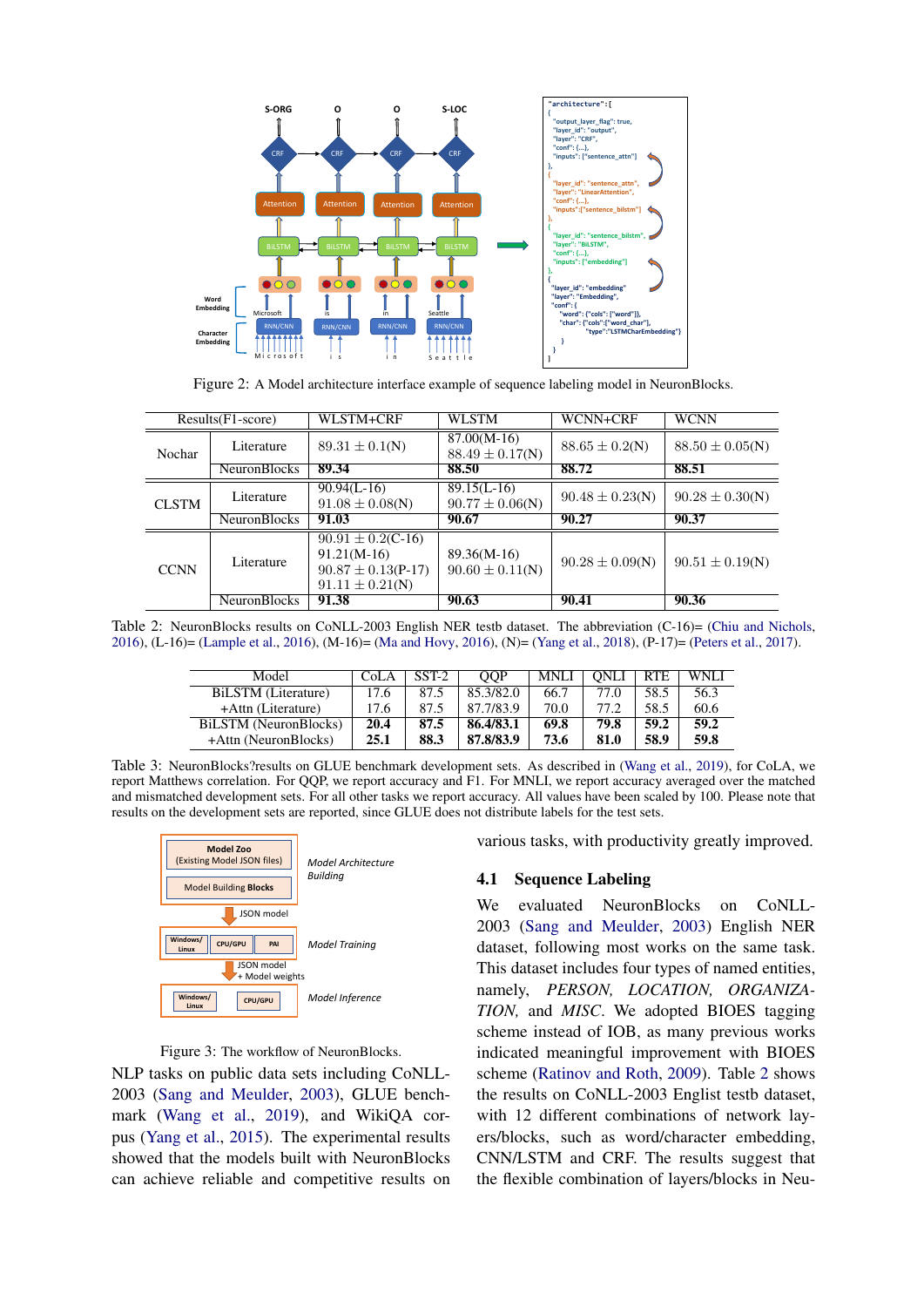<span id="page-3-0"></span>

Figure 2: A Model architecture interface example of sequence labeling model in NeuronBlocks.

<span id="page-3-2"></span>

|              | $Results(F1-score)$ | WLSTM+CRF                                                                                | WLSTM                                | WCNN+CRF            | <b>WCNN</b>         |
|--------------|---------------------|------------------------------------------------------------------------------------------|--------------------------------------|---------------------|---------------------|
| Nochar       | Literature          | $89.31 \pm 0.1(N)$                                                                       | $87.00(M-16)$<br>$88.49 \pm 0.17(N)$ | $88.65 \pm 0.2(N)$  | $88.50 \pm 0.05(N)$ |
|              | <b>NeuronBlocks</b> | 89.34                                                                                    | 88.50                                | 88.72               | 88.51               |
| <b>CLSTM</b> | Literature          | $90.94(L-16)$<br>$91.08 \pm 0.08(N)$                                                     | $89.15(L-16)$<br>$90.77 \pm 0.06(N)$ | $90.48 \pm 0.23(N)$ | $90.28 \pm 0.30(N)$ |
|              | <b>NeuronBlocks</b> | 91.03                                                                                    |                                      |                     |                     |
|              |                     |                                                                                          | 90.67                                | 90.27               | 90.37               |
| <b>CCNN</b>  | Literature          | $90.91 \pm 0.2$ (C-16)<br>$91.21(M-16)$<br>$90.87 \pm 0.13(P-17)$<br>$91.11 \pm 0.21(N)$ | $89.36(M-16)$<br>$90.60 \pm 0.11(N)$ | $90.28 \pm 0.09(N)$ | $90.51 \pm 0.19(N)$ |

<span id="page-3-3"></span>Table 2: NeuronBlocks results on CoNLL-2003 English NER testb dataset. The abbreviation (C-16)= [\(Chiu and Nichols,](#page-5-6) [2016\)](#page-5-6), (L-16)= [\(Lample et al.,](#page-5-7) [2016\)](#page-5-7), (M-16)= [\(Ma and Hovy,](#page-5-8) [2016\)](#page-5-8), (N)= [\(Yang et al.,](#page-5-9) [2018\)](#page-5-9), (P-17)= [\(Peters et al.,](#page-5-10) [2017\)](#page-5-10).

| Model                 | CoLA | $SST-2$ | <b>OOP</b> | <b>MNLI</b> | ONLI | RTE  | WNI J |
|-----------------------|------|---------|------------|-------------|------|------|-------|
| BiLSTM (Literature)   | 17.6 | 87.5    | 85.3/82.0  | 66.7        | 77.0 | 58.5 | 56.3  |
| +Attn (Literature)    | 17.6 | 87.5    | 87.7/83.9  | 70.0        | 77.2 | 58.5 | 60.6  |
| BiLSTM (NeuronBlocks) | 20.4 | 87.5    | 86.4/83.1  | 69.8        | 79.8 | 59.2 | 59.2  |
| +Attn (NeuronBlocks)  | 25.1 | 88.3    | 87.8/83.9  | 73.6        | 81.0 | 58.9 | 59.8  |

Table 3: NeuronBlocks?results on GLUE benchmark development sets. As described in [\(Wang et al.,](#page-5-11) [2019\)](#page-5-11), for CoLA, we report Matthews correlation. For QQP, we report accuracy and F1. For MNLI, we report accuracy averaged over the matched and mismatched development sets. For all other tasks we report accuracy. All values have been scaled by 100. Please note that results on the development sets are reported, since GLUE does not distribute labels for the test sets.

<span id="page-3-1"></span>

Figure 3: The workflow of NeuronBlocks.

NLP tasks on public data sets including CoNLL-2003 [\(Sang and Meulder,](#page-5-12) [2003\)](#page-5-12), GLUE benchmark [\(Wang et al.,](#page-5-11) [2019\)](#page-5-11), and WikiQA corpus [\(Yang et al.,](#page-5-13) [2015\)](#page-5-13). The experimental results showed that the models built with NeuronBlocks can achieve reliable and competitive results on various tasks, with productivity greatly improved.

#### 4.1 Sequence Labeling

We evaluated NeuronBlocks on CoNLL-2003 [\(Sang and Meulder,](#page-5-12) [2003\)](#page-5-12) English NER dataset, following most works on the same task. This dataset includes four types of named entities, namely, *PERSON, LOCATION, ORGANIZA-TION,* and *MISC*. We adopted BIOES tagging scheme instead of IOB, as many previous works indicated meaningful improvement with BIOES scheme [\(Ratinov and Roth,](#page-5-14) [2009\)](#page-5-14). Table [2](#page-3-2) shows the results on CoNLL-2003 Englist testb dataset, with 12 different combinations of network layers/blocks, such as word/character embedding, CNN/LSTM and CRF. The results suggest that the flexible combination of layers/blocks in Neu-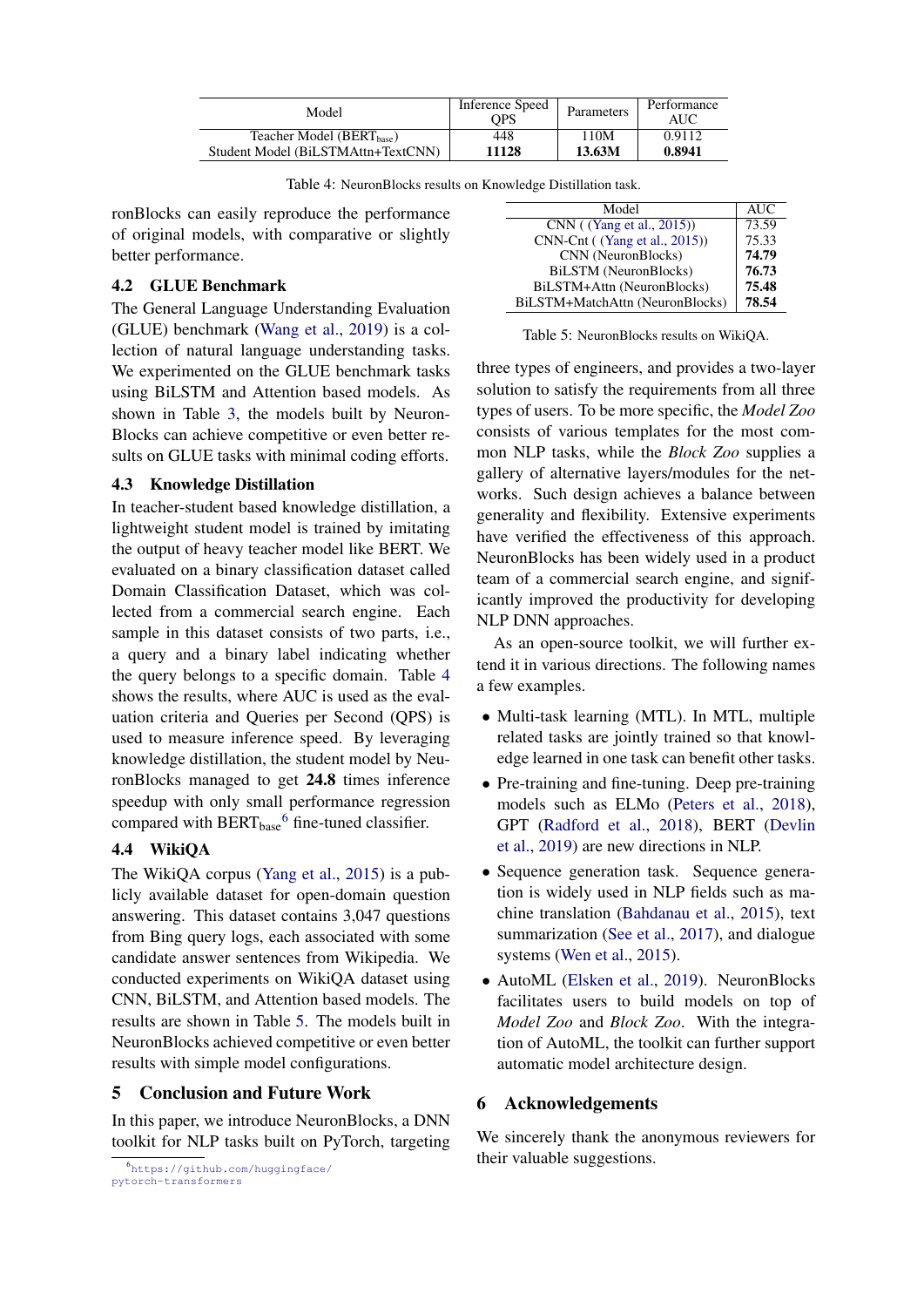<span id="page-4-0"></span>

| Model                                 | Inference Speed<br>OPS | <b>Parameters</b> | Performance<br>AUC |
|---------------------------------------|------------------------|-------------------|--------------------|
| Teacher Model (BERT <sub>hase</sub> ) | 448                    | 110M              | 0.9112             |
| Student Model (BiLSTMAttn+TextCNN)    | 11128                  | 13.63M            | 0.8941             |

| Table 4: NeuronBlocks results on Knowledge Distillation task. |
|---------------------------------------------------------------|
|---------------------------------------------------------------|

ronBlocks can easily reproduce the performance of original models, with comparative or slightly better performance.

## 4.2 GLUE Benchmark

The General Language Understanding Evaluation (GLUE) benchmark [\(Wang et al.,](#page-5-11) [2019\)](#page-5-11) is a collection of natural language understanding tasks. We experimented on the GLUE benchmark tasks using BiLSTM and Attention based models. As shown in Table [3,](#page-3-3) the models built by Neuron-Blocks can achieve competitive or even better results on GLUE tasks with minimal coding efforts.

## 4.3 Knowledge Distillation

In teacher-student based knowledge distillation, a lightweight student model is trained by imitating the output of heavy teacher model like BERT. We evaluated on a binary classification dataset called Domain Classification Dataset, which was collected from a commercial search engine. Each sample in this dataset consists of two parts, i.e., a query and a binary label indicating whether the query belongs to a specific domain. Table [4](#page-4-0) shows the results, where AUC is used as the evaluation criteria and Queries per Second (QPS) is used to measure inference speed. By leveraging knowledge distillation, the student model by NeuronBlocks managed to get 24.8 times inference speedup with only small performance regression compared with  $BERT_{base}^6$  $BERT_{base}^6$  fine-tuned classifier.

# 4.4 WikiQA

The WikiQA corpus [\(Yang et al.,](#page-5-13) [2015\)](#page-5-13) is a publicly available dataset for open-domain question answering. This dataset contains 3,047 questions from Bing query logs, each associated with some candidate answer sentences from Wikipedia. We conducted experiments on WikiQA dataset using CNN, BiLSTM, and Attention based models. The results are shown in Table [5.](#page-4-2) The models built in NeuronBlocks achieved competitive or even better results with simple model configurations.

## 5 Conclusion and Future Work

In this paper, we introduce NeuronBlocks, a DNN toolkit for NLP tasks built on PyTorch, targeting

<span id="page-4-2"></span>

| <b>AUC</b> |
|------------|
| 73.59      |
| 75.33      |
| 74.79      |
| 76.73      |
| 75.48      |
| 78.54      |
|            |

Table 5: NeuronBlocks results on WikiQA.

three types of engineers, and provides a two-layer solution to satisfy the requirements from all three types of users. To be more specific, the *Model Zoo* consists of various templates for the most common NLP tasks, while the *Block Zoo* supplies a gallery of alternative layers/modules for the networks. Such design achieves a balance between generality and flexibility. Extensive experiments have verified the effectiveness of this approach. NeuronBlocks has been widely used in a product team of a commercial search engine, and significantly improved the productivity for developing NLP DNN approaches.

As an open-source toolkit, we will further extend it in various directions. The following names a few examples.

- Multi-task learning (MTL). In MTL, multiple related tasks are jointly trained so that knowledge learned in one task can benefit other tasks.
- Pre-training and fine-tuning. Deep pre-training models such as ELMo [\(Peters et al.,](#page-5-15) [2018\)](#page-5-15), GPT [\(Radford et al.,](#page-5-16) [2018\)](#page-5-16), BERT [\(Devlin](#page-5-17) [et al.,](#page-5-17) [2019\)](#page-5-17) are new directions in NLP.
- Sequence generation task. Sequence generation is widely used in NLP fields such as machine translation [\(Bahdanau et al.,](#page-5-18) [2015\)](#page-5-18), text summarization [\(See et al.,](#page-5-19) [2017\)](#page-5-19), and dialogue systems [\(Wen et al.,](#page-5-20) [2015\)](#page-5-20).
- AutoML [\(Elsken et al.,](#page-5-21) [2019\)](#page-5-21). NeuronBlocks facilitates users to build models on top of *Model Zoo* and *Block Zoo*. With the integration of AutoML, the toolkit can further support automatic model architecture design.

# 6 Acknowledgements

We sincerely thank the anonymous reviewers for their valuable suggestions.

<span id="page-4-1"></span><sup>6</sup>[https://github.com/huggingface/](https://github.com/huggingface/pytorch-transformers) [pytorch-transformers](https://github.com/huggingface/pytorch-transformers)